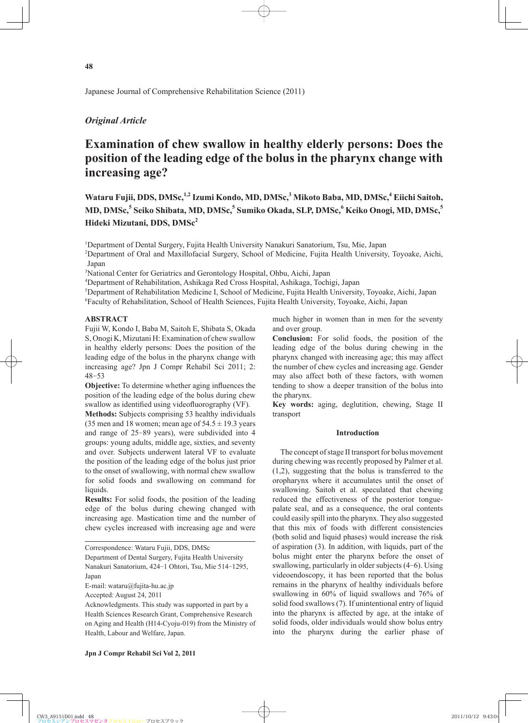# *Original Article*

# **Examination of chew swallow in healthy elderly persons: Does the position of the leading edge of the bolus in the pharynx change with increasing age?**

**Wataru Fujii, DDS, DMSc,1,2 Izumi Kondo, MD, DMSc,3 Mikoto Baba, MD, DMSc,<sup>4</sup> Eiichi Saitoh, MD, DMSc,<sup>5</sup> Seiko Shibata, MD, DMSc,<sup>5</sup> Sumiko Okada, SLP, DMSc,<sup>6</sup> Keiko Onogi, MD, DMSc,5 Hideki Mizutani, DDS, DMSc2**

1 Department of Dental Surgery, Fujita Health University Nanakuri Sanatorium, Tsu, Mie, Japan

2 Department of Oral and Maxillofacial Surgery, School of Medicine, Fujita Health University, Toyoake, Aichi, Japan

3 National Center for Geriatrics and Gerontology Hospital, Ohbu, Aichi, Japan

4 Department of Rehabilitation, Ashikaga Red Cross Hospital, Ashikaga, Tochigi, Japan

5 Department of Rehabilitation Medicine I, School of Medicine, Fujita Health University, Toyoake, Aichi, Japan

6 Faculty of Rehabilitation, School of Health Sciences, Fujita Health University, Toyoake, Aichi, Japan

## **ABSTRACT**

Fujii W, Kondo I, Baba M, Saitoh E, Shibata S, Okada S, Onogi K, Mizutani H: Examination of chew swallow in healthy elderly persons: Does the position of the leading edge of the bolus in the pharynx change with increasing age? Jpn J Compr Rehabil Sci 2011; 2: 48-53

**Objective:** To determine whether aging influences the position of the leading edge of the bolus during chew swallow as identified using videofluorography (VF).

**Methods:** Subjects comprising 53 healthy individuals (35 men and 18 women; mean age of  $54.5 \pm 19.3$  years and range of 25-89 years), were subdivided into 4 groups: young adults, middle age, sixties, and seventy and over. Subjects underwent lateral VF to evaluate the position of the leading edge of the bolus just prior to the onset of swallowing, with normal chew swallow for solid foods and swallowing on command for liquids.

**Results:** For solid foods, the position of the leading edge of the bolus during chewing changed with increasing age. Mastication time and the number of chew cycles increased with increasing age and were

E-mail: wataru@fujita-hu.ac.jp

Accepted: August 24, 2011

Acknowledgments. This study was supported in part by a Health Sciences Research Grant, Comprehensive Research on Aging and Health (H14-Cyoju-019) from the Ministry of Health, Labour and Welfare, Japan.

much higher in women than in men for the seventy and over group.

**Conclusion:** For solid foods, the position of the leading edge of the bolus during chewing in the pharynx changed with increasing age; this may affect the number of chew cycles and increasing age. Gender may also affect both of these factors, with women tending to show a deeper transition of the bolus into the pharynx.

**Key words:** aging, deglutition, chewing, Stage II transport

### **Introduction**

The concept of stage II transport for bolus movement during chewing was recently proposed by Palmer et al. (1,2), suggesting that the bolus is transferred to the oropharynx where it accumulates until the onset of swallowing. Saitoh et al. speculated that chewing reduced the effectiveness of the posterior tonguepalate seal, and as a consequence, the oral contents could easily spill into the pharynx. They also suggested that this mix of foods with different consistencies (both solid and liquid phases) would increase the risk of aspiration (3). In addition, with liquids, part of the bolus might enter the pharynx before the onset of swallowing, particularly in older subjects (4-6). Using videoendoscopy, it has been reported that the bolus remains in the pharynx of healthy individuals before swallowing in 60% of liquid swallows and 76% of solid food swallows (7). If unintentional entry of liquid into the pharynx is affected by age, at the intake of solid foods, older individuals would show bolus entry into the pharynx during the earlier phase of

Correspondence: Wataru Fujii, DDS, DMSc Department of Dental Surgery, Fujita Health University Nanakuri Sanatorium, 424-1 Ohtori, Tsu, Mie 514-1295, Japan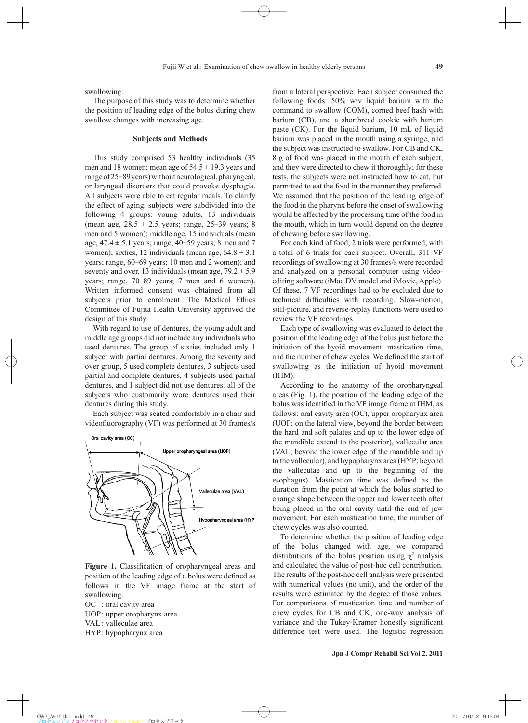swallowing.

The purpose of this study was to determine whether the position of leading edge of the bolus during chew swallow changes with increasing age.

#### **Subjects and Methods**

This study comprised 53 healthy individuals (35 men and 18 women; mean age of  $54.5 \pm 19.3$  years and range of 25-89 years) without neurological, pharyngeal, or laryngeal disorders that could provoke dysphagia. All subjects were able to eat regular meals. To clarify the effect of aging, subjects were subdivided into the following 4 groups: young adults, 13 individuals (mean age,  $28.5 \pm 2.5$  years; range,  $25-39$  years; 8 men and 5 women); middle age, 15 individuals (mean age,  $47.4 \pm 5.1$  years; range,  $40-59$  years; 8 men and 7 women); sixties, 12 individuals (mean age,  $64.8 \pm 3.1$ years; range, 60-69 years; 10 men and 2 women); and seventy and over, 13 individuals (mean age,  $79.2 \pm 5.9$ years; range, 70-89 years; 7 men and 6 women). Written informed consent was obtained from all subjects prior to enrolment. The Medical Ethics Committee of Fujita Health University approved the design of this study.

With regard to use of dentures, the young adult and middle age groups did not include any individuals who used dentures. The group of sixties included only 1 subject with partial dentures. Among the seventy and over group, 5 used complete dentures, 3 subjects used partial and complete dentures, 4 subjects used partial dentures, and 1 subject did not use dentures; all of the subjects who customarily wore dentures used their dentures during this study.

Each subject was seated comfortably in a chair and videofluorography (VF) was performed at 30 frames/s



Figure 1. Classification of oropharyngeal areas and position of the leading edge of a bolus were defined as follows in the VF image frame at the start of swallowing.

OC : oral cavity area UOP : upper oropharynx area VAL : valleculae area HYP : hypopharynx area

from a lateral perspective. Each subject consumed the following foods: 50% w/v liquid barium with the command to swallow (COM), corned beef hash with barium (CB), and a shortbread cookie with barium paste (CK). For the liquid barium, 10 mL of liquid barium was placed in the mouth using a syringe, and the subject was instructed to swallow. For CB and CK, 8 g of food was placed in the mouth of each subject, and they were directed to chew it thoroughly; for these tests, the subjects were not instructed how to eat, but permitted to eat the food in the manner they preferred. We assumed that the position of the leading edge of the food in the pharynx before the onset of swallowing would be affected by the processing time of the food in the mouth, which in turn would depend on the degree of chewing before swallowing.

For each kind of food, 2 trials were performed, with a total of 6 trials for each subject. Overall, 311 VF recordings of swallowing at 30 frames/s were recorded and analyzed on a personal computer using videoediting software (iMac DV model and iMovie, Apple). Of these, 7 VF recordings had to be excluded due to technical difficulties with recording. Slow-motion, still-picture, and reverse-replay functions were used to review the VF recordings.

Each type of swallowing was evaluated to detect the position of the leading edge of the bolus just before the initiation of the hyoid movement, mastication time, and the number of chew cycles. We defined the start of swallowing as the initiation of hyoid movement (IHM).

According to the anatomy of the oropharyngeal areas (Fig. 1), the position of the leading edge of the bolus was identified in the VF image frame at IHM, as follows: oral cavity area (OC), upper oropharynx area (UOP; on the lateral view, beyond the border between the hard and soft palates and up to the lower edge of the mandible extend to the posterior), vallecular area (VAL; beyond the lower edge of the mandible and up to the vallecular), and hypopharynx area (HYP; beyond the valleculae and up to the beginning of the esophagus). Mastication time was defined as the duration from the point at which the bolus started to change shape between the upper and lower teeth after being placed in the oral cavity until the end of jaw movement. For each mastication time, the number of chew cycles was also counted.

To determine whether the position of leading edge of the bolus changed with age, we compared distributions of the bolus position using  $\chi^2$  analysis and calculated the value of post-hoc cell contribution. The results of the post-hoc cell analysis were presented with numerical values (no unit), and the order of the results were estimated by the degree of those values. For comparisons of mastication time and number of chew cycles for CB and CK, one-way analysis of variance and the Tukey-Kramer honestly significant difference test were used. The logistic regression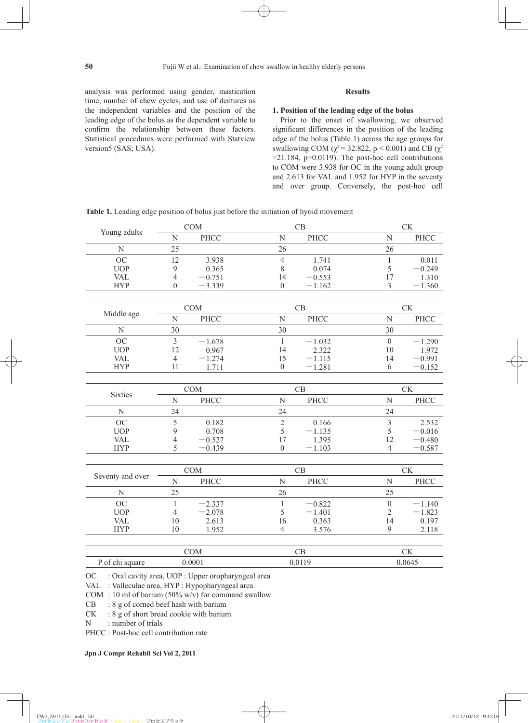analysis was performed using gender, mastication time, number of chew cycles, and use of dentures as the independent variables and the position of the leading edge of the bolus as the dependent variable to confirm the relationship between these factors. Statistical procedures were performed with Statview version5 (SAS; USA).

#### **Results**

#### **1. Position of the leading edge of the bolus**

Prior to the onset of swallowing, we observed significant differences in the position of the leading edge of the bolus (Table 1) across the age groups for swallowing COM ( $\chi^2$  = 32.822, p < 0.001) and CB ( $\chi^2$  $=$ 21.184, p=0.0119). The post-hoc cell contributions to COM were 3.938 for OC in the young adult group and 2.613 for VAL and 1.952 for HYP in the seventy and over group. Conversely, the post-hoc cell

| Young adults     | <b>COM</b>       |             |                  | CB          |                  | CK          |  |
|------------------|------------------|-------------|------------------|-------------|------------------|-------------|--|
|                  | $\mathbf N$      | PHCC        | $\mathbf N$      | <b>PHCC</b> | $\mathbf N$      | PHCC        |  |
| $\mathbf N$      | 25               |             | 26               |             | 26               |             |  |
| <b>OC</b>        | 12               | 3.938       | $\overline{4}$   | 1.741       | $\,1$            | 0.011       |  |
| <b>UOP</b>       | 9                | 0.365       | $8\,$            | 0.074       | 5                | $-0.249$    |  |
| <b>VAL</b>       | $\overline{4}$   | $-0.751$    | 14               | $-0.553$    | 17               | 1.310       |  |
| <b>HYP</b>       | $\boldsymbol{0}$ | $-3.339$    | $\boldsymbol{0}$ | $-1.162$    | 3                | $-1.360$    |  |
|                  |                  |             |                  |             |                  |             |  |
| Middle age       | <b>COM</b>       |             |                  | CB          |                  | CK          |  |
|                  | N                | PHCC        | $\mathbf N$      | <b>PHCC</b> | $\overline{N}$   | <b>PHCC</b> |  |
| $\mathbf N$      | 30               |             | 30               |             | 30               |             |  |
| OC               | $\overline{3}$   | $-1.678$    | $\mathbf{1}$     | $-1.032$    | $\boldsymbol{0}$ | $-1.290$    |  |
| <b>UOP</b>       | 12               | 0.967       | 14               | 2.322       | 10               | 1.972       |  |
| <b>VAL</b>       | $\overline{4}$   | $-1.274$    | 15               | $-1.115$    | 14               | $-0.991$    |  |
| <b>HYP</b>       | 11               | 1.711       | $\boldsymbol{0}$ | $-1.281$    | 6                | $-0.152$    |  |
|                  |                  |             |                  |             |                  |             |  |
| <b>Sixties</b>   | <b>COM</b>       |             |                  | CB          |                  | CK          |  |
|                  | $\mathbf N$      | PHCC        | N                | <b>PHCC</b> | $\overline{N}$   | <b>PHCC</b> |  |
| N                | 24               |             | 24               |             | 24               |             |  |
| OC               | 5                | 0.182       | $\sqrt{2}$       | 0.166       | $\mathfrak{Z}$   | 2.532       |  |
| <b>UOP</b>       | 9                | 0.708       | 5                | $-1.135$    | 5                | $-0.016$    |  |
| <b>VAL</b>       | 4                | $-0.527$    | 17               | 1.395       | 12               | $-0.480$    |  |
| <b>HYP</b>       | 5                | $-0.439$    | $\boldsymbol{0}$ | $-1.103$    | $\overline{4}$   | $-0.587$    |  |
|                  |                  |             |                  |             |                  |             |  |
| Seventy and over | <b>COM</b>       |             |                  | CB          |                  | <b>CK</b>   |  |
|                  | ${\bf N}$        | <b>PHCC</b> | N                | <b>PHCC</b> | N                | <b>PHCC</b> |  |
| N                | 25               |             | 26               |             | 25               |             |  |
| <b>OC</b>        | $\mathbf{1}$     | $-2.337$    | $\mathbf{1}$     | $-0.822$    | $\boldsymbol{0}$ | $-1.140$    |  |
| <b>UOP</b>       | $\overline{4}$   | $-2.078$    | 5                | $-1.401$    | $\overline{2}$   | $-1.823$    |  |
| <b>VAL</b>       | 10               | 2.613       | 16               | 0.363       | 14               | 0.197       |  |
| <b>HYP</b>       | 10               | 1.952       | $\overline{4}$   | 3.576       | 9                | 2.118       |  |
|                  |                  |             |                  |             |                  |             |  |
|                  | <b>COM</b>       |             |                  | CB          |                  | CK          |  |

P of chi square 0.0001 0.00119 0.0645

**Table 1.** Leading edge position of bolus just before the initiation of hyoid movement

OC : Oral cavity area, UOP : Upper oropharyngeal area

VAL : Valleculae area, HYP : Hypopharyngeal area

COM : 10 ml of barium (50% w/v) for command swallow

CB : 8 g of corned beef hash with barium

 $CK \div 8$  g of short bread cookie with barium

N : number of trials

PHCC : Post-hoc cell contribution rate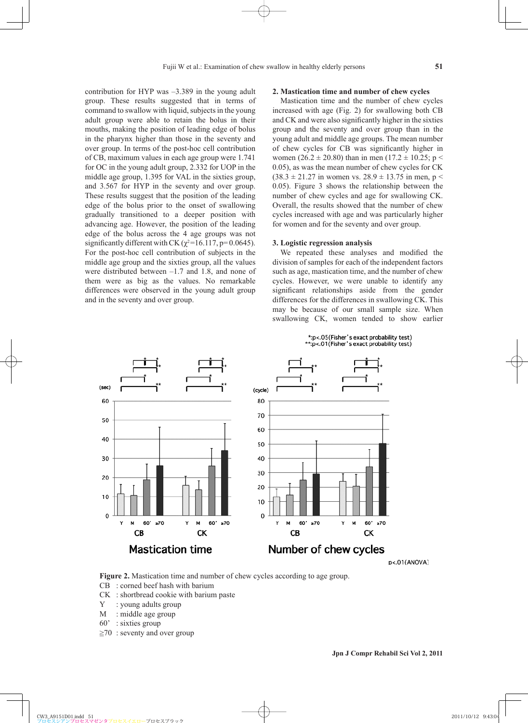contribution for HYP was –3.389 in the young adult group. These results suggested that in terms of command to swallow with liquid, subjects in the young adult group were able to retain the bolus in their mouths, making the position of leading edge of bolus in the pharynx higher than those in the seventy and over group. In terms of the post-hoc cell contribution of CB, maximum values in each age group were 1.741 for OC in the young adult group, 2.332 for UOP in the middle age group, 1.395 for VAL in the sixties group, and 3.567 for HYP in the seventy and over group. These results suggest that the position of the leading edge of the bolus prior to the onset of swallowing gradually transitioned to a deeper position with advancing age. However, the position of the leading edge of the bolus across the 4 age groups was not significantly different with CK ( $\chi^2$ =16.117, p=0.0645). For the post-hoc cell contribution of subjects in the middle age group and the sixties group, all the values were distributed between –1.7 and 1.8, and none of them were as big as the values. No remarkable differences were observed in the young adult group and in the seventy and over group.

#### **2. Mastication time and number of chew cycles**

Mastication time and the number of chew cycles increased with age (Fig. 2) for swallowing both CB and CK and were also significantly higher in the sixties group and the seventy and over group than in the young adult and middle age groups. The mean number of chew cycles for CB was significantly higher in women (26.2  $\pm$  20.80) than in men (17.2  $\pm$  10.25; p < 0.05), as was the mean number of chew cycles for CK  $(38.3 \pm 21.27)$  in women vs.  $28.9 \pm 13.75$  in men, p < 0.05). Figure 3 shows the relationship between the number of chew cycles and age for swallowing CK. Overall, the results showed that the number of chew cycles increased with age and was particularly higher for women and for the seventy and over group.

#### **3. Logistic regression analysis**

We repeated these analyses and modified the division of samples for each of the independent factors such as age, mastication time, and the number of chew cycles. However, we were unable to identify any significant relationships aside from the gender differences for the differences in swallowing CK. This may be because of our small sample size. When swallowing CK, women tended to show earlier

> \*:p<.05(Fisher's exact probability test) :p<.01(Fisher's exact probability test)

> > Υ M

 $60'$   $\geq 70$ 

CК



p<.01(ANOVA)



- CB : corned beef hash with barium
- CK : shortbread cookie with barium paste
- Y : young adults group
- M : middle age group
- 60' : sixties group
- $\geq$ 70 : seventy and over group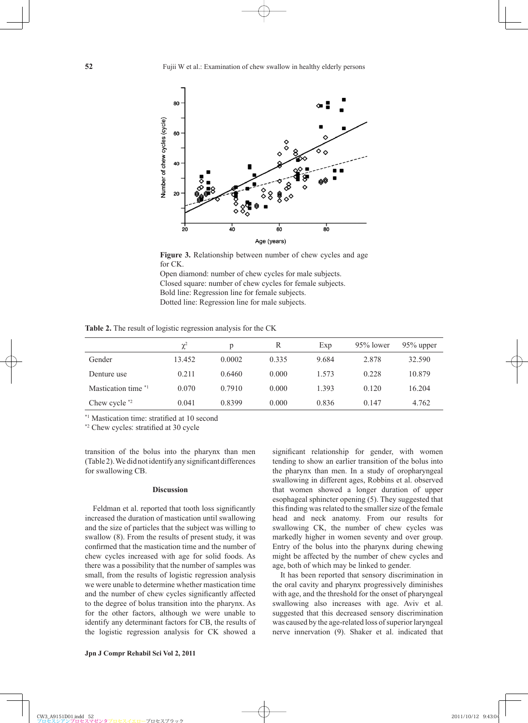

Figure 3. Relationship between number of chew cycles and age for CK.

Open diamond: number of chew cycles for male subjects. Closed square: number of chew cycles for female subjects. Bold line: Regression line for female subjects. Dotted line: Regression line for male subjects.

**Table 2.** The result of logistic regression analysis for the CK

|                     | $\chi^2$ | p      | R     | Exp   | 95% lower | $95\%$ upper |
|---------------------|----------|--------|-------|-------|-----------|--------------|
| Gender              | 13.452   | 0.0002 | 0.335 | 9.684 | 2.878     | 32.590       |
| Denture use         | 0.211    | 0.6460 | 0.000 | 1.573 | 0.228     | 10.879       |
| Mastication time *1 | 0.070    | 0.7910 | 0.000 | 1.393 | 0.120     | 16.204       |
| Chew cycle $*2$     | 0.041    | 0.8399 | 0.000 | 0.836 | 0.147     | 4.762        |

\*1 Mastication time: stratified at 10 second

<sup>\*2</sup> Chew cycles: stratified at 30 cycle

transition of the bolus into the pharynx than men  $(Table 2)$ . We did not identify any significant differences for swallowing CB.

#### **Discussion**

Feldman et al. reported that tooth loss significantly increased the duration of mastication until swallowing and the size of particles that the subject was willing to swallow (8). From the results of present study, it was confirmed that the mastication time and the number of chew cycles increased with age for solid foods. As there was a possibility that the number of samples was small, from the results of logistic regression analysis we were unable to determine whether mastication time and the number of chew cycles significantly affected to the degree of bolus transition into the pharynx. As for the other factors, although we were unable to identify any determinant factors for CB, the results of the logistic regression analysis for CK showed a significant relationship for gender, with women tending to show an earlier transition of the bolus into the pharynx than men. In a study of oropharyngeal swallowing in different ages, Robbins et al. observed that women showed a longer duration of upper esophageal sphincter opening (5). They suggested that this finding was related to the smaller size of the female head and neck anatomy. From our results for swallowing CK, the number of chew cycles was markedly higher in women seventy and over group. Entry of the bolus into the pharynx during chewing might be affected by the number of chew cycles and age, both of which may be linked to gender.

It has been reported that sensory discrimination in the oral cavity and pharynx progressively diminishes with age, and the threshold for the onset of pharyngeal swallowing also increases with age. Aviv et al. suggested that this decreased sensory discrimination was caused by the age-related loss of superior laryngeal nerve innervation (9). Shaker et al. indicated that